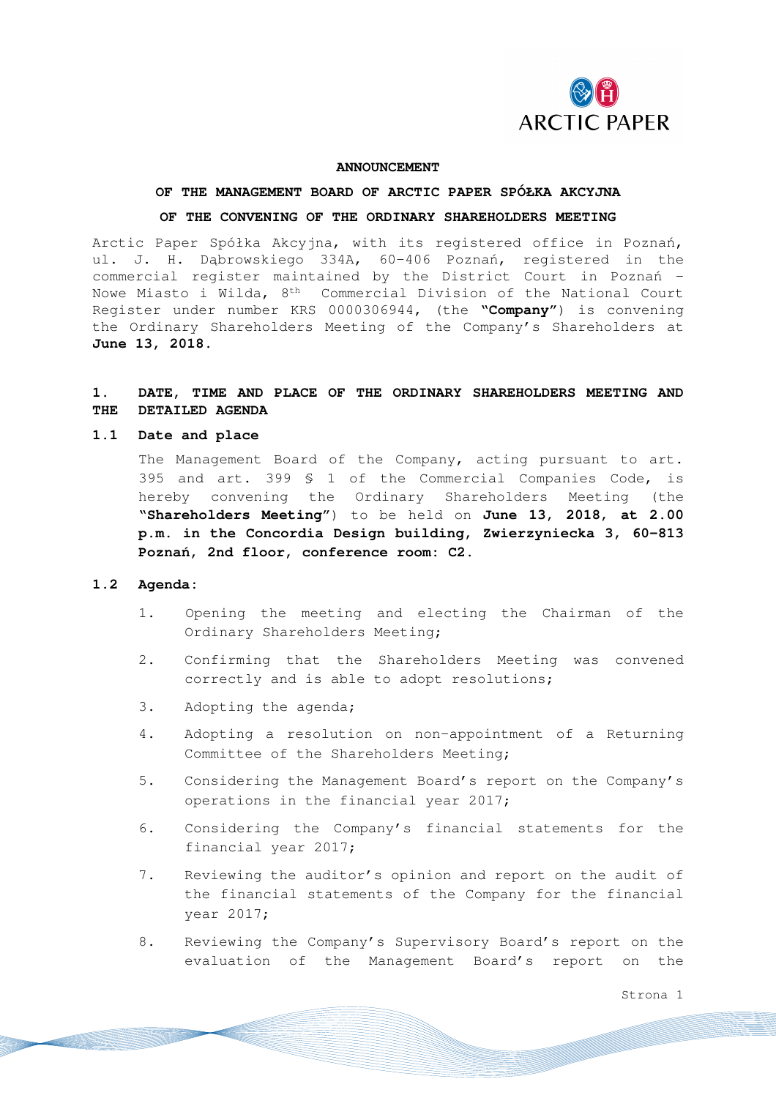

#### **ANNOUNCEMENT**

# **OF THE MANAGEMENT BOARD OF ARCTIC PAPER SPÓŁKA AKCYJNA OF THE CONVENING OF THE ORDINARY SHAREHOLDERS MEETING**

Arctic Paper Spółka Akcyjna, with its registered office in Poznań, ul. J. H. Dąbrowskiego 334A, 60-406 Poznań, registered in the commercial register maintained by the District Court in Poznań – Nowe Miasto i Wilda, 8th Commercial Division of the National Court Register under number KRS 0000306944, (the "**Company**") is convening the Ordinary Shareholders Meeting of the Company's Shareholders at **June 13, 2018.**

# **1. DATE, TIME AND PLACE OF THE ORDINARY SHAREHOLDERS MEETING AND THE DETAILED AGENDA**

#### **1.1 Date and place**

The Management Board of the Company, acting pursuant to art. 395 and art. 399 § 1 of the Commercial Companies Code, is hereby convening the Ordinary Shareholders Meeting (the "**Shareholders Meeting**") to be held on **June 13, 2018**, **at 2.00 p.m. in the Concordia Design building, Zwierzyniecka 3, 60-813 Poznań, 2nd floor, conference room: C2.** 

#### **1.2 Agenda:**

- 1. Opening the meeting and electing the Chairman of the Ordinary Shareholders Meeting;
- 2. Confirming that the Shareholders Meeting was convened correctly and is able to adopt resolutions;
- 3. Adopting the agenda;
- 4. Adopting a resolution on non-appointment of a Returning Committee of the Shareholders Meeting;
- 5. Considering the Management Board's report on the Company's operations in the financial year 2017;
- 6. Considering the Company's financial statements for the financial year 2017;
- 7. Reviewing the auditor's opinion and report on the audit of the financial statements of the Company for the financial year 2017;
- 8. Reviewing the Company's Supervisory Board's report on the evaluation of the Management Board's report on the

Strona 1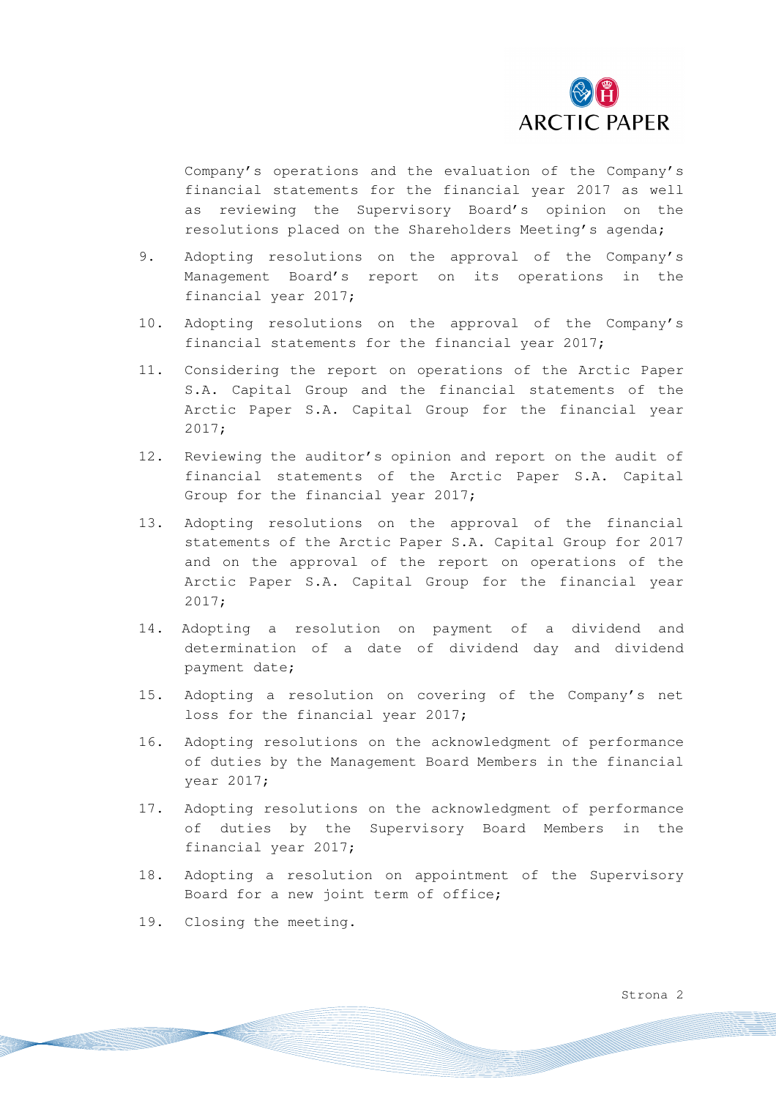

Company's operations and the evaluation of the Company's financial statements for the financial year 2017 as well as reviewing the Supervisory Board's opinion on the resolutions placed on the Shareholders Meeting's agenda;

- 9. Adopting resolutions on the approval of the Company's Management Board's report on its operations in the financial year 2017;
- 10. Adopting resolutions on the approval of the Company's financial statements for the financial year 2017;
- 11. Considering the report on operations of the Arctic Paper S.A. Capital Group and the financial statements of the Arctic Paper S.A. Capital Group for the financial year 2017;
- 12. Reviewing the auditor's opinion and report on the audit of financial statements of the Arctic Paper S.A. Capital Group for the financial year 2017;
- 13. Adopting resolutions on the approval of the financial statements of the Arctic Paper S.A. Capital Group for 2017 and on the approval of the report on operations of the Arctic Paper S.A. Capital Group for the financial year 2017;
- 14. Adopting a resolution on payment of a dividend and determination of a date of dividend day and dividend payment date;
- 15. Adopting a resolution on covering of the Company's net loss for the financial year 2017;
- 16. Adopting resolutions on the acknowledgment of performance of duties by the Management Board Members in the financial year 2017;
- 17. Adopting resolutions on the acknowledgment of performance of duties by the Supervisory Board Members in the financial year 2017;
- 18. Adopting a resolution on appointment of the Supervisory Board for a new joint term of office;
- 19. Closing the meeting.

Strona 2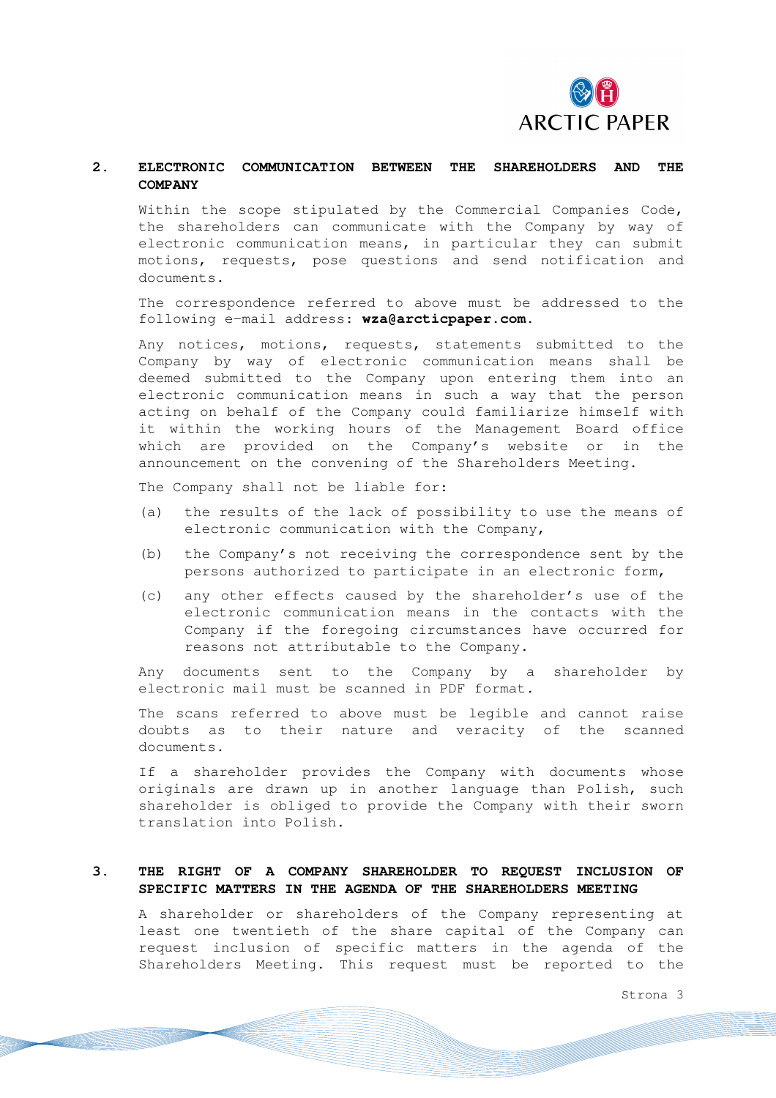

# **2. ELECTRONIC COMMUNICATION BETWEEN THE SHAREHOLDERS AND THE COMPANY**

Within the scope stipulated by the Commercial Companies Code, the shareholders can communicate with the Company by way of electronic communication means, in particular they can submit motions, requests, pose questions and send notification and documents.

The correspondence referred to above must be addressed to the following e-mail address: **wza@arcticpaper.com**.

Any notices, motions, requests, statements submitted to the Company by way of electronic communication means shall be deemed submitted to the Company upon entering them into an electronic communication means in such a way that the person acting on behalf of the Company could familiarize himself with it within the working hours of the Management Board office which are provided on the Company's website or in the announcement on the convening of the Shareholders Meeting.

The Company shall not be liable for:

- (a) the results of the lack of possibility to use the means of electronic communication with the Company,
- (b) the Company's not receiving the correspondence sent by the persons authorized to participate in an electronic form,
- (c) any other effects caused by the shareholder's use of the electronic communication means in the contacts with the Company if the foregoing circumstances have occurred for reasons not attributable to the Company.

Any documents sent to the Company by a shareholder by electronic mail must be scanned in PDF format.

The scans referred to above must be legible and cannot raise doubts as to their nature and veracity of the scanned documents.

If a shareholder provides the Company with documents whose originals are drawn up in another language than Polish, such shareholder is obliged to provide the Company with their sworn translation into Polish.

#### **3. THE RIGHT OF A COMPANY SHAREHOLDER TO REQUEST INCLUSION OF SPECIFIC MATTERS IN THE AGENDA OF THE SHAREHOLDERS MEETING**

A shareholder or shareholders of the Company representing at least one twentieth of the share capital of the Company can request inclusion of specific matters in the agenda of the Shareholders Meeting. This request must be reported to the

Strona 3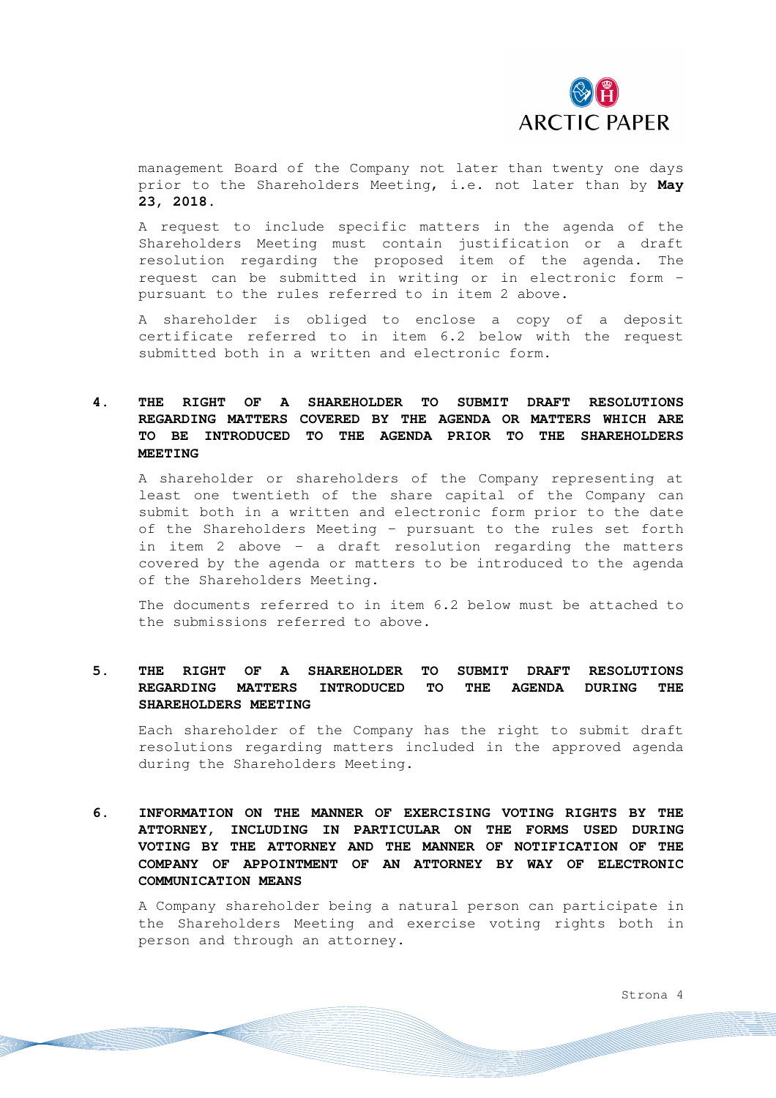

management Board of the Company not later than twenty one days prior to the Shareholders Meeting, i.e. not later than by **May 23, 2018.** 

A request to include specific matters in the agenda of the Shareholders Meeting must contain justification or a draft resolution regarding the proposed item of the agenda. The request can be submitted in writing or in electronic form – pursuant to the rules referred to in item 2 above**.**

A shareholder is obliged to enclose a copy of a deposit certificate referred to in item 6.2 below with the request submitted both in a written and electronic form.

# **4. THE RIGHT OF A SHAREHOLDER TO SUBMIT DRAFT RESOLUTIONS REGARDING MATTERS COVERED BY THE AGENDA OR MATTERS WHICH ARE TO BE INTRODUCED TO THE AGENDA PRIOR TO THE SHAREHOLDERS MEETING**

A shareholder or shareholders of the Company representing at least one twentieth of the share capital of the Company can submit both in a written and electronic form prior to the date of the Shareholders Meeting – pursuant to the rules set forth in item 2 above - a draft resolution regarding the matters covered by the agenda or matters to be introduced to the agenda of the Shareholders Meeting.

The documents referred to in item 6.2 below must be attached to the submissions referred to above.

### **5. THE RIGHT OF A SHAREHOLDER TO SUBMIT DRAFT RESOLUTIONS REGARDING MATTERS INTRODUCED TO THE AGENDA DURING THE SHAREHOLDERS MEETING**

Each shareholder of the Company has the right to submit draft resolutions regarding matters included in the approved agenda during the Shareholders Meeting.

# **6. INFORMATION ON THE MANNER OF EXERCISING VOTING RIGHTS BY THE ATTORNEY, INCLUDING IN PARTICULAR ON THE FORMS USED DURING VOTING BY THE ATTORNEY AND THE MANNER OF NOTIFICATION OF THE COMPANY OF APPOINTMENT OF AN ATTORNEY BY WAY OF ELECTRONIC COMMUNICATION MEANS**

A Company shareholder being a natural person can participate in the Shareholders Meeting and exercise voting rights both in person and through an attorney.

Strona 4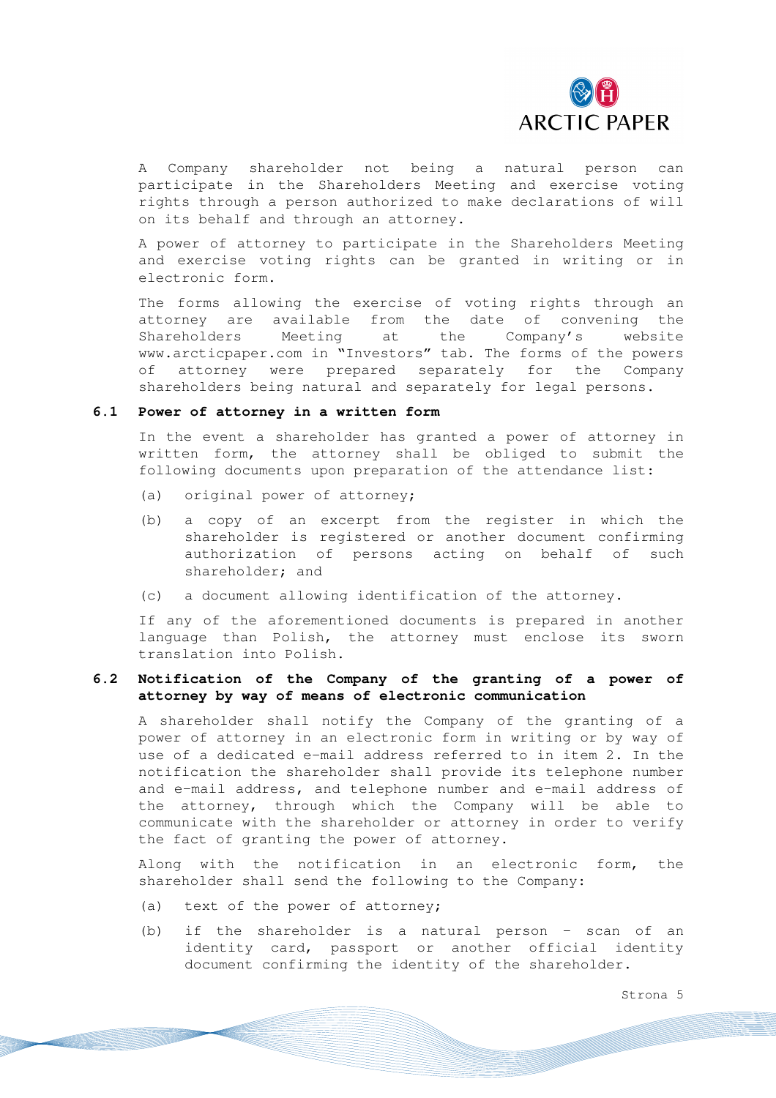

A Company shareholder not being a natural person can participate in the Shareholders Meeting and exercise voting rights through a person authorized to make declarations of will on its behalf and through an attorney.

A power of attorney to participate in the Shareholders Meeting and exercise voting rights can be granted in writing or in electronic form.

The forms allowing the exercise of voting rights through an attorney are available from the date of convening the Shareholders Meeting at the Company's website www.arcticpaper.com in "Investors" tab. The forms of the powers of attorney were prepared separately for the Company shareholders being natural and separately for legal persons.

#### **6.1 Power of attorney in a written form**

In the event a shareholder has granted a power of attorney in written form, the attorney shall be obliged to submit the following documents upon preparation of the attendance list:

- (a) original power of attorney;
- (b) a copy of an excerpt from the register in which the shareholder is registered or another document confirming authorization of persons acting on behalf of such shareholder; and
- (c) a document allowing identification of the attorney.

If any of the aforementioned documents is prepared in another language than Polish, the attorney must enclose its sworn translation into Polish.

# **6.2 Notification of the Company of the granting of a power of attorney by way of means of electronic communication**

A shareholder shall notify the Company of the granting of a power of attorney in an electronic form in writing or by way of use of a dedicated e-mail address referred to in item 2. In the notification the shareholder shall provide its telephone number and e-mail address, and telephone number and e-mail address of the attorney, through which the Company will be able to communicate with the shareholder or attorney in order to verify the fact of granting the power of attorney.

Along with the notification in an electronic form, the shareholder shall send the following to the Company:

- (a) text of the power of attorney;
- (b) if the shareholder is a natural person scan of an identity card, passport or another official identity document confirming the identity of the shareholder.

Strona 5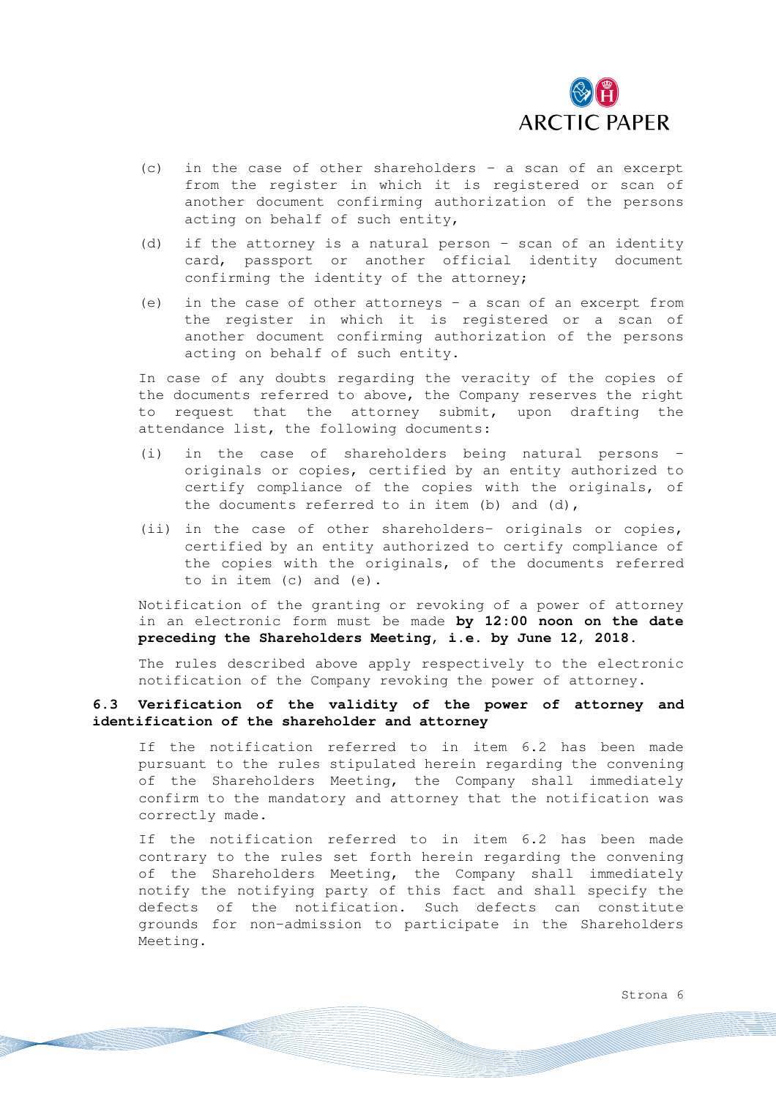

- (c) in the case of other shareholders a scan of an excerpt from the register in which it is registered or scan of another document confirming authorization of the persons acting on behalf of such entity,
- (d) if the attorney is a natural person scan of an identity card, passport or another official identity document confirming the identity of the attorney;
- (e) in the case of other attorneys a scan of an excerpt from the register in which it is registered or a scan of another document confirming authorization of the persons acting on behalf of such entity.

In case of any doubts regarding the veracity of the copies of the documents referred to above, the Company reserves the right to request that the attorney submit, upon drafting the attendance list, the following documents:

- (i) in the case of shareholders being natural persons originals or copies, certified by an entity authorized to certify compliance of the copies with the originals, of the documents referred to in item (b) and (d),
- (ii) in the case of other shareholders- originals or copies, certified by an entity authorized to certify compliance of the copies with the originals, of the documents referred to in item (c) and (e).

Notification of the granting or revoking of a power of attorney in an electronic form must be made **by 12:00 noon on the date preceding the Shareholders Meeting, i.e. by June 12, 2018.**

The rules described above apply respectively to the electronic notification of the Company revoking the power of attorney.

# **6.3 Verification of the validity of the power of attorney and identification of the shareholder and attorney**

If the notification referred to in item 6.2 has been made pursuant to the rules stipulated herein regarding the convening of the Shareholders Meeting, the Company shall immediately confirm to the mandatory and attorney that the notification was correctly made.

If the notification referred to in item 6.2 has been made contrary to the rules set forth herein regarding the convening of the Shareholders Meeting, the Company shall immediately notify the notifying party of this fact and shall specify the defects of the notification. Such defects can constitute grounds for non-admission to participate in the Shareholders Meeting.

Strona 6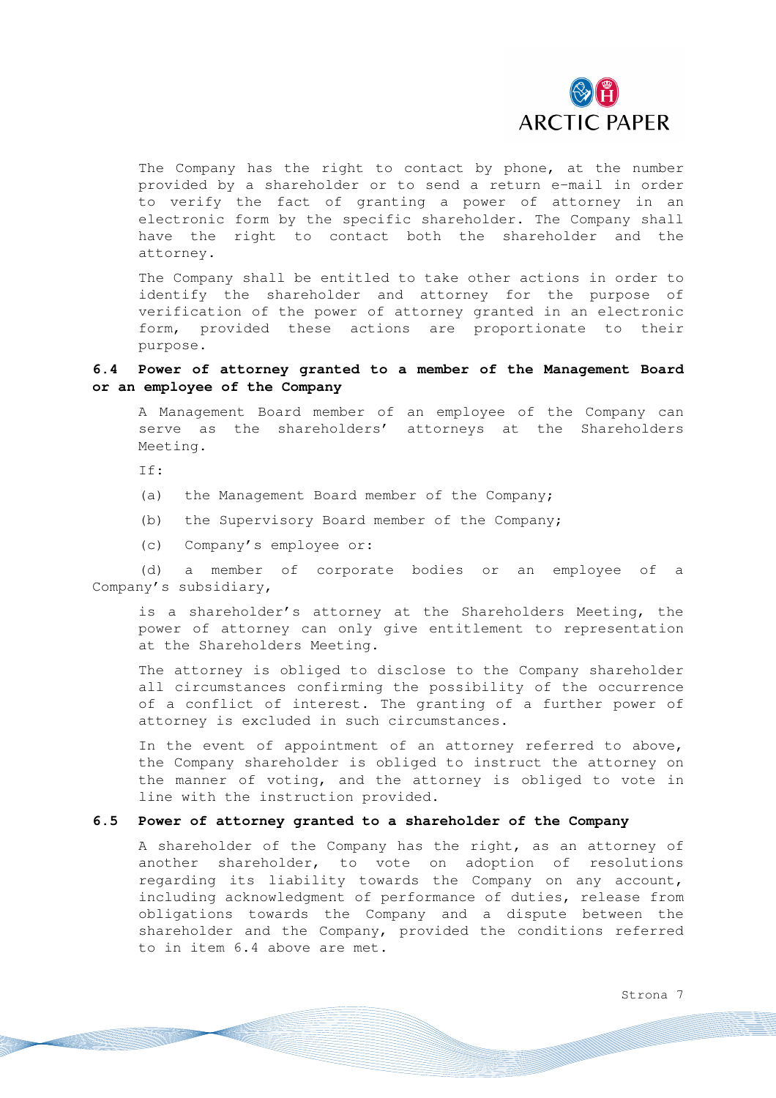

The Company has the right to contact by phone, at the number provided by a shareholder or to send a return e-mail in order to verify the fact of granting a power of attorney in an electronic form by the specific shareholder. The Company shall have the right to contact both the shareholder and the attorney.

The Company shall be entitled to take other actions in order to identify the shareholder and attorney for the purpose of verification of the power of attorney granted in an electronic form, provided these actions are proportionate to their purpose.

### **6.4 Power of attorney granted to a member of the Management Board or an employee of the Company**

A Management Board member of an employee of the Company can serve as the shareholders' attorneys at the Shareholders Meeting.

If:

- (a) the Management Board member of the Company;
- (b) the Supervisory Board member of the Company;
- (c) Company's employee or:

(d) a member of corporate bodies or an employee of a Company's subsidiary,

is a shareholder's attorney at the Shareholders Meeting, the power of attorney can only give entitlement to representation at the Shareholders Meeting.

The attorney is obliged to disclose to the Company shareholder all circumstances confirming the possibility of the occurrence of a conflict of interest. The granting of a further power of attorney is excluded in such circumstances.

In the event of appointment of an attorney referred to above, the Company shareholder is obliged to instruct the attorney on the manner of voting, and the attorney is obliged to vote in line with the instruction provided.

#### **6.5 Power of attorney granted to a shareholder of the Company**

A shareholder of the Company has the right, as an attorney of another shareholder, to vote on adoption of resolutions regarding its liability towards the Company on any account, including acknowledgment of performance of duties, release from obligations towards the Company and a dispute between the shareholder and the Company, provided the conditions referred to in item 6.4 above are met.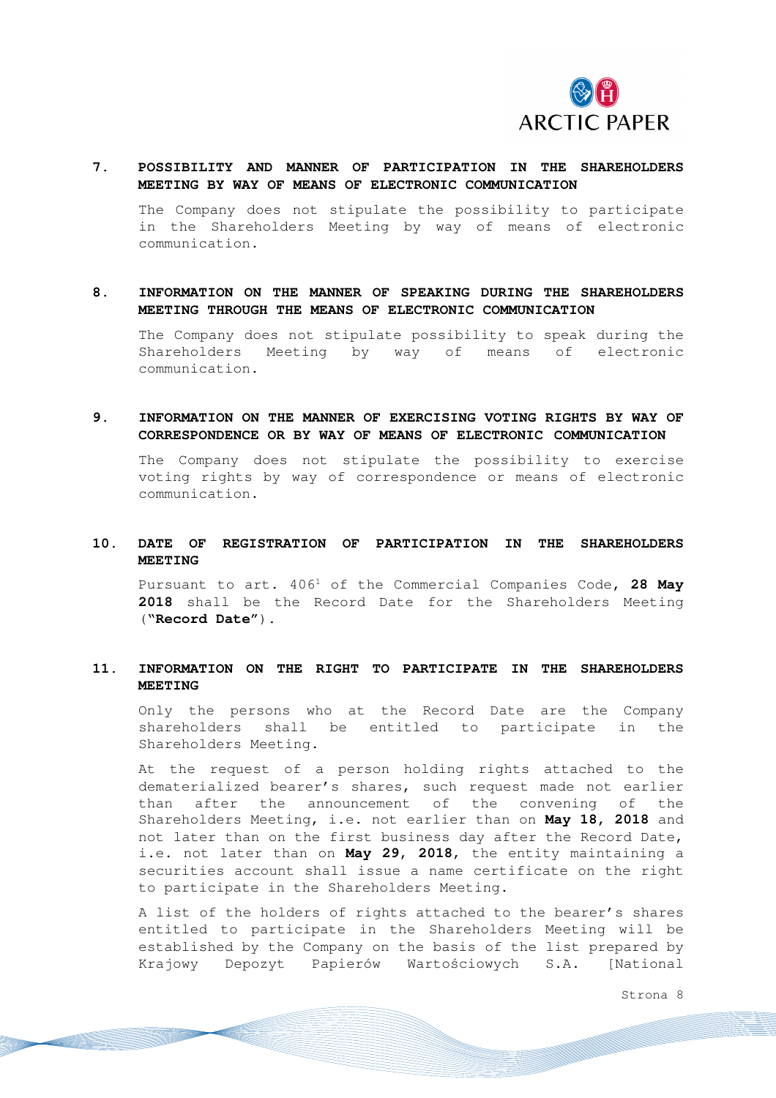

### **7. POSSIBILITY AND MANNER OF PARTICIPATION IN THE SHAREHOLDERS MEETING BY WAY OF MEANS OF ELECTRONIC COMMUNICATION**

The Company does not stipulate the possibility to participate in the Shareholders Meeting by way of means of electronic communication.

### **8. INFORMATION ON THE MANNER OF SPEAKING DURING THE SHAREHOLDERS MEETING THROUGH THE MEANS OF ELECTRONIC COMMUNICATION**

The Company does not stipulate possibility to speak during the Shareholders Meeting by way of means of electronic communication.

### **9. INFORMATION ON THE MANNER OF EXERCISING VOTING RIGHTS BY WAY OF CORRESPONDENCE OR BY WAY OF MEANS OF ELECTRONIC COMMUNICATION**

The Company does not stipulate the possibility to exercise voting rights by way of correspondence or means of electronic communication.

### **10. DATE OF REGISTRATION OF PARTICIPATION IN THE SHAREHOLDERS MEETING**

Pursuant to art. 406<sup>1</sup> of the Commercial Companies Code**, 28 May 2018** shall be the Record Date for the Shareholders Meeting ("**Record Date"**).

### **11. INFORMATION ON THE RIGHT TO PARTICIPATE IN THE SHAREHOLDERS MEETING**

Only the persons who at the Record Date are the Company shareholders shall be entitled to participate in the Shareholders Meeting.

At the request of a person holding rights attached to the dematerialized bearer's shares, such request made not earlier than after the announcement of the convening of the Shareholders Meeting, i.e. not earlier than on **May 18, 2018** and not later than on the first business day after the Record Date, i.e. not later than on **May 29, 2018**, the entity maintaining a securities account shall issue a name certificate on the right to participate in the Shareholders Meeting.

A list of the holders of rights attached to the bearer's shares entitled to participate in the Shareholders Meeting will be established by the Company on the basis of the list prepared by Krajowy Depozyt Papierów Wartościowych S.A. [National

Strona 8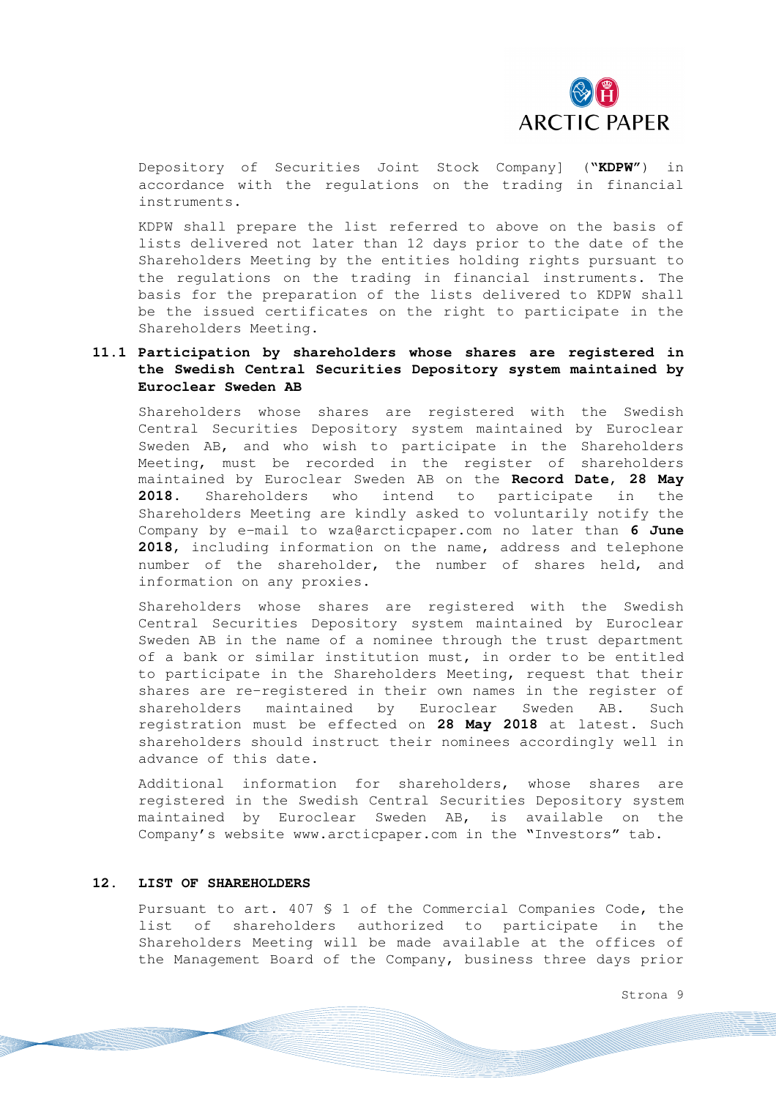

Depository of Securities Joint Stock Company] ("**KDPW"**) in accordance with the regulations on the trading in financial instruments.

KDPW shall prepare the list referred to above on the basis of lists delivered not later than 12 days prior to the date of the Shareholders Meeting by the entities holding rights pursuant to the regulations on the trading in financial instruments. The basis for the preparation of the lists delivered to KDPW shall be the issued certificates on the right to participate in the Shareholders Meeting.

# **11.1 Participation by shareholders whose shares are registered in the Swedish Central Securities Depository system maintained by Euroclear Sweden AB**

Shareholders whose shares are registered with the Swedish Central Securities Depository system maintained by Euroclear Sweden AB, and who wish to participate in the Shareholders Meeting, must be recorded in the register of shareholders maintained by Euroclear Sweden AB on the **Record Date, 28 May 2018.** Shareholders who intend to participate in the Shareholders Meeting are kindly asked to voluntarily notify the Company by e-mail to wza@arcticpaper.com no later than **6 June 2018**, including information on the name, address and telephone number of the shareholder, the number of shares held, and information on any proxies.

Shareholders whose shares are registered with the Swedish Central Securities Depository system maintained by Euroclear Sweden AB in the name of a nominee through the trust department of a bank or similar institution must, in order to be entitled to participate in the Shareholders Meeting, request that their shares are re-registered in their own names in the register of shareholders maintained by Euroclear Sweden AB. Such registration must be effected on **28 May 2018** at latest. Such shareholders should instruct their nominees accordingly well in advance of this date.

Additional information for shareholders, whose shares are registered in the Swedish Central Securities Depository system maintained by Euroclear Sweden AB, is available on the Company's website www.arcticpaper.com in the "Investors" tab.

### **12. LIST OF SHAREHOLDERS**

Pursuant to art. 407 § 1 of the Commercial Companies Code, the list of shareholders authorized to participate in the Shareholders Meeting will be made available at the offices of the Management Board of the Company, business three days prior